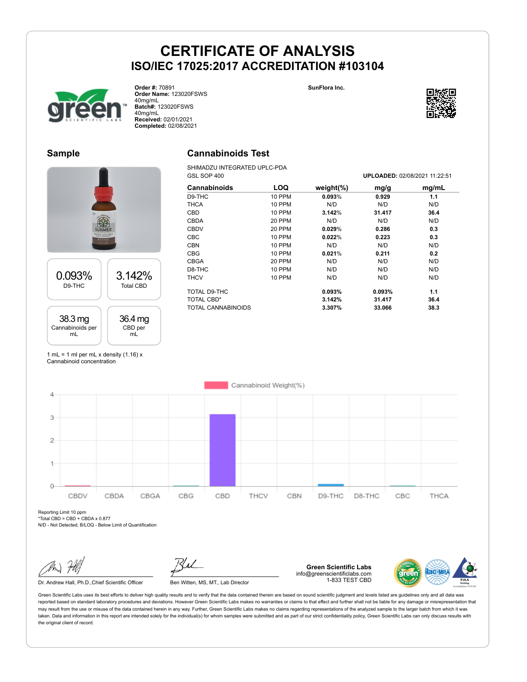**SunFlora Inc.**



**Order #:** 70891 **Order Name:** 123020FSWS 40mg/mL **Batch#:** 123020FSWS 40mg/mL **Received:** 02/01/2021 **Completed:** 02/08/2021

# **Sample**

# 0.093% D9-THC 3.142% Total CBD 38.3 mg Cannabinoids per 36.4 mg CBD per

# **Cannabinoids Test**

SHIMADZU INTEGRATED UPLC-PDA<br>GSL SOP 400

| Cannabinoids       | LOQ           | weight $(\%)$ | mg/g   | mg/mL |
|--------------------|---------------|---------------|--------|-------|
| D9-THC             | 10 PPM        | 0.093%        | 0.929  | 1.1   |
| <b>THCA</b>        | <b>10 PPM</b> | N/D           | N/D    | N/D   |
| <b>CBD</b>         | 10 PPM        | 3.142%        | 31.417 | 36.4  |
| <b>CBDA</b>        | 20 PPM        | N/D           | N/D    | N/D   |
| <b>CBDV</b>        | 20 PPM        | 0.029%        | 0.286  | 0.3   |
| <b>CBC</b>         | <b>10 PPM</b> | 0.022%        | 0.223  | 0.3   |
| <b>CBN</b>         | <b>10 PPM</b> | N/D           | N/D    | N/D   |
| CBG                | 10 PPM        | 0.021%        | 0.211  | 0.2   |
| <b>CBGA</b>        | 20 PPM        | N/D           | N/D    | N/D   |
| D8-THC             | <b>10 PPM</b> | N/D           | N/D    | N/D   |
| <b>THCV</b>        | <b>10 PPM</b> | N/D           | N/D    | N/D   |
| TOTAL D9-THC       |               | 0.093%        | 0.093% | 1.1   |
| TOTAL CBD*         |               | 3.142%        | 31.417 | 36.4  |
| TOTAL CANNABINOIDS |               | 3.307%        | 33.066 | 38.3  |

1 mL = 1 ml per mL x density  $(1.16)$  x Cannabinoid concentration

mL

mL



Reporting Limit 10 ppm  $*Total CBD = CBD + CBDA \times 0.877$ 

N/D - Not Detected, B/LOQ - Below Limit of Quantification

Dr. Andrew Hall, Ph.D., Chief Scientific Officer Ben Witten, MS, MT., Lab Director

**Green Scientific Labs** info@greenscientificlabs.com 1-833 TEST CBD



Green Scientific Labs uses its best efforts to deliver high quality results and to verify that the data contained therein are based on sound scientific judgment and levels listed are guidelines only and all data was reported based on standard laboratory procedures and deviations. However Green Scientific Labs makes no warranties or claims to that effect and further shall not be liable for any damage or misrepresentation that may result from the use or misuse of the data contained herein in any way. Further, Green Scientific Labs makes no claims regarding representations of the analyzed sample to the larger batch from which it was taken. Data and information in this report are intended solely for the individual(s) for whom samples were submitted and as part of our strict confidentiality policy, Green Scientific Labs can only discuss results with the original client of record.



GSL SOP 400 **UPLOADED:** 02/08/2021 11:22:51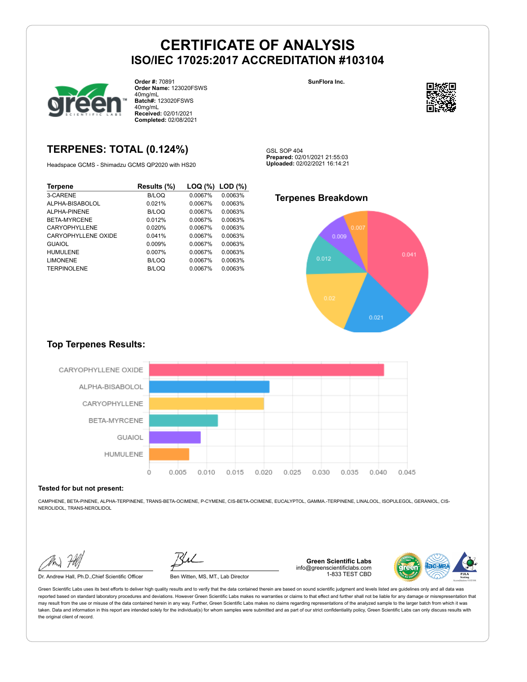

**Order #:** 70891 **Order Name:** 123020FSWS 40mg/mL **Batch#:** 123020FSWS 40mg/mL **Received:** 02/01/2021 **Completed:** 02/08/2021

### **TERPENES: TOTAL (0.124%)**

Headspace GCMS - Shimadzu GCMS QP2020 with HS20

| <b>Terpene</b>      | Results (%) | LOQ (%) | LOD(%)  |
|---------------------|-------------|---------|---------|
| 3-CARENE            | B/LOQ       | 0.0067% | 0.0063% |
| ALPHA-BISABOLOL     | 0.021%      | 0.0067% | 0.0063% |
| AI PHA-PINENE       | B/LOQ       | 0.0067% | 0.0063% |
| BETA-MYRCENE        | 0.012%      | 0.0067% | 0.0063% |
| CARYOPHYLLENE       | 0.020%      | 0.0067% | 0.0063% |
| CARYOPHYLLENE OXIDE | 0.041%      | 0.0067% | 0.0063% |
| <b>GUAIOL</b>       | 0.009%      | 0.0067% | 0.0063% |
| <b>HUMULENE</b>     | 0.007%      | 0.0067% | 0.0063% |
| <b>LIMONENE</b>     | B/LOQ       | 0.0067% | 0.0063% |
| <b>TERPINOLENE</b>  | B/LOQ       | 0.0067% | 0.0063% |

**SunFlora Inc.**



GSL SOP 404 **Prepared:** 02/01/2021 21:55:03 **Uploaded:** 02/02/2021 16:14:21

### **Terpenes Breakdown**



#### **Top Terpenes Results:**



#### **Tested for but not present:**

CAMPHENE, BETA-PINENE, ALPHA-TERPINENE, TRANS-BETA-OCIMENE, P-CYMENE, CIS-BETA-OCIMENE, EUCALYPTOL, GAMMA.-TERPINENE, LINALOOL, ISOPULEGOL, GERANIOL, CIS-NEROLIDOL, TRANS-NEROLIDOL

Dr. Andrew Hall, Ph.D.,Chief Scientific Officer Ben Witten, MS, MT., Lab Director

**Green Scientific Labs** info@greenscientificlabs.com 1-833 TEST CBD

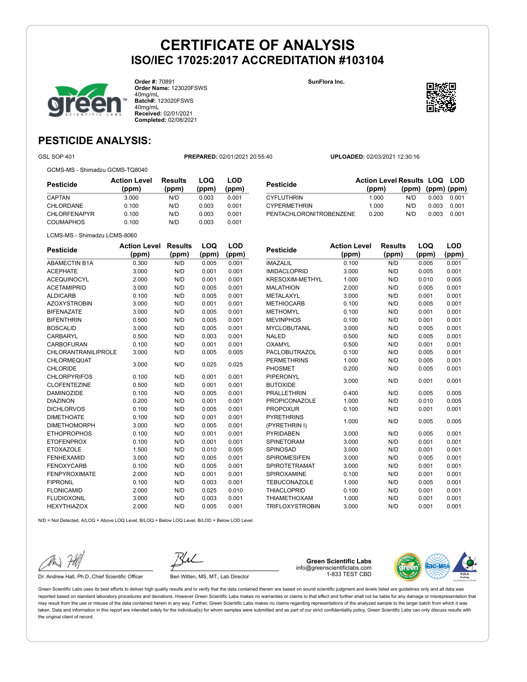

**Order #:** 70891 **Order Name:** 123020FSWS 40mg/mL **Batch#:** 123020FSWS 40mg/mL **Received:** 02/01/2021 **Completed:** 02/08/2021

**SunFlora Inc.**



**LOQ**

**LOD**

### **PESTICIDE ANALYSIS:**

GSL SOP 401 **PREPARED:** 02/01/2021 20:55:40 **UPLOADED:** 02/03/2021 12:30:16

GCMS-MS - Shimadzu GCMS-TQ8040

| Pesticide           | <b>Action Level</b><br>(ppm) | <b>Results</b><br>(ppm) | LOQ<br>(ppm) | LOD<br>(ppm) |
|---------------------|------------------------------|-------------------------|--------------|--------------|
| CAPTAN              | 3.000                        | N/D                     | 0.003        | 0.001        |
| CHLORDANE           | 0.100                        | N/D                     | 0.003        | 0.001        |
| <b>CHLORFENAPYR</b> | 0.100                        | N/D                     | 0.003        | 0.001        |
| <b>COUMAPHOS</b>    | 0.100                        | N/D                     | 0.003        | 0.001        |

|                         | <b>Action Level Results LOQ LOD</b> |                   |       |       |
|-------------------------|-------------------------------------|-------------------|-------|-------|
| <b>Pesticide</b>        | (ppm)                               | (ppm) (ppm) (ppm) |       |       |
| <b>CYFLUTHRIN</b>       | 1.000                               | N/D               | 0.003 | 0.001 |
| <b>CYPERMETHRIN</b>     | 1.000                               | N/D               | 0.003 | 0.001 |
| PENTACHLORONITROBENZENE | 0.200                               | N/D               | 0.003 | 0.001 |

LCMS-MS - Shimadzu LCMS-8060

| <b>Pesticide</b>           | <b>Action Level</b> | <b>Results</b> | LOQ   | <b>LOD</b> |
|----------------------------|---------------------|----------------|-------|------------|
|                            | (ppm)               | (ppm)          | (ppm) | (ppm)      |
| <b>ABAMECTIN B1A</b>       | 0.300               | N/D            | 0.005 | 0.001      |
| <b>ACEPHATE</b>            | 3.000               | N/D            | 0.001 | 0.001      |
| <b>ACEQUINOCYL</b>         | 2.000               | N/D            | 0.001 | 0.001      |
| <b>ACETAMIPRID</b>         | 3.000               | N/D            | 0.005 | 0.001      |
| <b>ALDICARB</b>            | 0.100               | N/D            | 0.005 | 0.001      |
| <b>AZOXYSTROBIN</b>        | 3.000               | N/D            | 0.001 | 0.001      |
| <b>BIFENAZATE</b>          | 3.000               | N/D            | 0.005 | 0.001      |
| <b>BIFENTHRIN</b>          | 0.500               | N/D            | 0.005 | 0.001      |
| <b>BOSCALID</b>            | 3.000               | N/D            | 0.005 | 0.001      |
| CARBARYL                   | 0.500               | N/D            | 0.003 | 0.001      |
| CARBOFURAN                 | 0.100               | N/D            | 0.001 | 0.001      |
| <b>CHLORANTRANILIPROLE</b> | 3.000               | N/D            | 0.005 | 0.005      |
| CHLORMEQUAT                | 3.000               | N/D            | 0.025 | 0.025      |
| <b>CHLORIDE</b>            |                     |                |       |            |
| <b>CHLORPYRIFOS</b>        | 0.100               | N/D            | 0.001 | 0.001      |
| <b>CLOFENTEZINE</b>        | 0.500               | N/D            | 0.001 | 0.001      |
| <b>DAMINOZIDE</b>          | 0.100               | N/D            | 0.005 | 0.001      |
| <b>DIAZINON</b>            | 0.200               | N/D            | 0.001 | 0.001      |
| <b>DICHLORVOS</b>          | 0.100               | N/D            | 0.005 | 0.001      |
| <b>DIMETHOATE</b>          | 0.100               | N/D            | 0.001 | 0.001      |
| <b>DIMETHOMORPH</b>        | 3.000               | N/D            | 0.005 | 0.001      |
| <b>ETHOPROPHOS</b>         | 0.100               | N/D            | 0.001 | 0.001      |
| <b>ETOFENPROX</b>          | 0.100               | N/D            | 0.001 | 0.001      |
| <b>ETOXAZOLE</b>           | 1.500               | N/D            | 0.010 | 0.005      |
| <b>FENHEXAMID</b>          | 3.000               | N/D            | 0.005 | 0.001      |
| <b>FENOXYCARB</b>          | 0.100               | N/D            | 0.005 | 0.001      |
| <b>FENPYROXIMATE</b>       | 2.000               | N/D            | 0.001 | 0.001      |
| <b>FIPRONIL</b>            | 0.100               | N/D            | 0.003 | 0.001      |
| <b>FLONICAMID</b>          | 2.000               | N/D            | 0.025 | 0.010      |
| <b>FLUDIOXONIL</b>         | 3.000               | N/D            | 0.003 | 0.001      |
| <b>HEXYTHIAZOX</b>         | 2.000               | N/D            | 0.005 | 0.001      |
|                            |                     |                |       |            |

| <b>Pesticide</b>       | <b>Action Level</b> | <b>Results</b> | LOQ   | <b>LOD</b> |
|------------------------|---------------------|----------------|-------|------------|
|                        | (ppm)               | (ppm)          | (ppm) | (ppm)      |
| <b>IMAZALIL</b>        | 0.100               | N/D            | 0.005 | 0.001      |
| <b>IMIDACLOPRID</b>    | 3.000               | N/D            | 0.005 | 0.001      |
| <b>KRESOXIM-METHYL</b> | 1.000               | N/D            | 0.010 | 0.005      |
| <b>MALATHION</b>       | 2.000               | N/D            | 0.005 | 0.001      |
| METALAXYL              | 3.000               | N/D            | 0.001 | 0.001      |
| <b>METHIOCARB</b>      | 0.100               | N/D            | 0.005 | 0.001      |
| <b>METHOMYL</b>        | 0.100               | N/D            | 0.001 | 0.001      |
| <b>MEVINPHOS</b>       | 0.100               | N/D            | 0.001 | 0.001      |
| <b>MYCLOBUTANIL</b>    | 3.000               | N/D            | 0.005 | 0.001      |
| <b>NALED</b>           | 0.500               | N/D            | 0.005 | 0.001      |
| OXAMYL                 | 0.500               | N/D            | 0.001 | 0.001      |
| PACLOBUTRAZOL          | 0.100               | N/D            | 0.005 | 0.001      |
| <b>PERMETHRINS</b>     | 1.000               | N/D            | 0.005 | 0.001      |
| PHOSMET                | 0.200               | N/D            | 0.005 | 0.001      |
| PIPERONYL              | 3.000               | N/D            | 0.001 | 0.001      |
| <b>BUTOXIDE</b>        |                     |                |       |            |
| <b>PRALLETHRIN</b>     | 0.400               | N/D            | 0.005 | 0.005      |
| <b>PROPICONAZOLE</b>   | 1.000               | N/D            | 0.010 | 0.005      |
| <b>PROPOXUR</b>        | 0.100               | N/D            | 0.001 | 0.001      |
| <b>PYRETHRINS</b>      | 1.000               | N/D            | 0.005 | 0.005      |
| (PYRETHRIN I)          |                     |                |       |            |
| <b>PYRIDABEN</b>       | 3.000               | N/D            | 0.005 | 0.001      |
| <b>SPINETORAM</b>      | 3.000               | N/D            | 0.001 | 0.001      |
| SPINOSAD               | 3.000               | N/D            | 0.001 | 0.001      |
| <b>SPIROMESIFEN</b>    | 3.000               | N/D            | 0.005 | 0.001      |
| <b>SPIROTETRAMAT</b>   | 3.000               | N/D            | 0.001 | 0.001      |
| SPIROXAMINE            | 0.100               | N/D            | 0.001 | 0.001      |
| <b>TEBUCONAZOLE</b>    | 1.000               | N/D            | 0.005 | 0.001      |
| <b>THIACLOPRID</b>     | 0.100               | N/D            | 0.001 | 0.001      |
| <b>THIAMETHOXAM</b>    | 1.000               | N/D            | 0.001 | 0.001      |
| <b>TRIFLOXYSTROBIN</b> | 3.000               | N/D            | 0.001 | 0.001      |

N/D = Not Detected, A/LOQ = Above LOQ Level, B/LOQ = Below LOQ Level, B/LOD = Below LOD Level



Dr. Andrew Hall, Ph.D., Chief Scientific Officer Ben Witten, MS, MT., Lab Director

**Green Scientific Labs** info@greenscientificlabs.com 1-833 TEST CBD

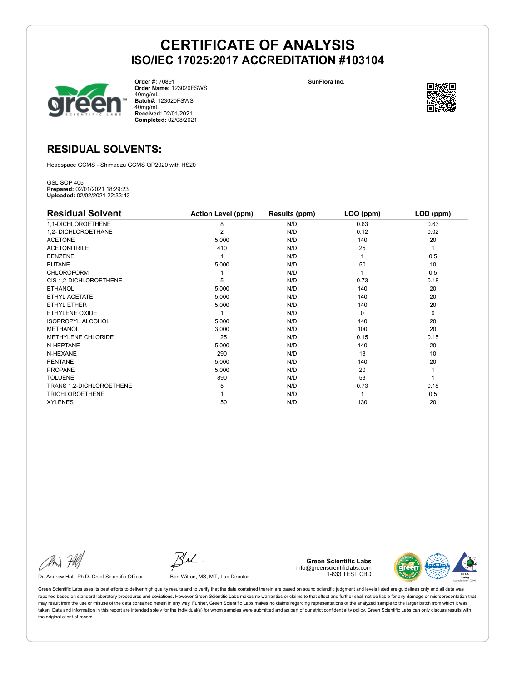

**Order #:** 70891 **Order Name:** 123020FSWS 40mg/mL **Batch#:** 123020FSWS 40mg/mL **Received:** 02/01/2021 **Completed:** 02/08/2021

**SunFlora Inc.**



### **RESIDUAL SOLVENTS:**

Headspace GCMS - Shimadzu GCMS QP2020 with HS20

GSL SOP 405 **Prepared:** 02/01/2021 18:29:23 **Uploaded:** 02/02/2021 22:33:43

| <b>Residual Solvent</b>  | <b>Action Level (ppm)</b> | Results (ppm) | LOQ (ppm) | LOD (ppm)   |
|--------------------------|---------------------------|---------------|-----------|-------------|
| 1,1-DICHLOROETHENE       | 8                         | N/D           | 0.63      | 0.63        |
| 1,2- DICHLOROETHANE      | $\overline{2}$            | N/D           | 0.12      | 0.02        |
| <b>ACETONE</b>           | 5,000                     | N/D           | 140       | 20          |
| <b>ACETONITRILE</b>      | 410                       | N/D           | 25        | 1           |
| <b>BENZENE</b>           |                           | N/D           |           | 0.5         |
| <b>BUTANE</b>            | 5,000                     | N/D           | 50        | 10          |
| <b>CHLOROFORM</b>        |                           | N/D           |           | 0.5         |
| CIS 1,2-DICHLOROETHENE   | 5                         | N/D           | 0.73      | 0.18        |
| <b>ETHANOL</b>           | 5,000                     | N/D           | 140       | 20          |
| ETHYL ACETATE            | 5,000                     | N/D           | 140       | 20          |
| <b>ETHYL ETHER</b>       | 5,000                     | N/D           | 140       | 20          |
| ETHYLENE OXIDE           |                           | N/D           | $\Omega$  | $\mathbf 0$ |
| <b>ISOPROPYL ALCOHOL</b> | 5,000                     | N/D           | 140       | 20          |
| <b>METHANOL</b>          | 3,000                     | N/D           | 100       | 20          |
| METHYLENE CHLORIDE       | 125                       | N/D           | 0.15      | 0.15        |
| N-HEPTANE                | 5,000                     | N/D           | 140       | 20          |
| N-HEXANE                 | 290                       | N/D           | 18        | 10          |
| <b>PENTANE</b>           | 5,000                     | N/D           | 140       | 20          |
| <b>PROPANE</b>           | 5,000                     | N/D           | 20        |             |
| <b>TOLUENE</b>           | 890                       | N/D           | 53        |             |
| TRANS 1,2-DICHLOROETHENE | 5                         | N/D           | 0.73      | 0.18        |
| <b>TRICHLOROETHENE</b>   |                           | N/D           |           | 0.5         |
| <b>XYLENES</b>           | 150                       | N/D           | 130       | 20          |

Dr. Andrew Hall, Ph.D., Chief Scientific Officer Ben Witten, MS, MT., Lab Director

**Green Scientific Labs** info@greenscientificlabs.com 1-833 TEST CBD

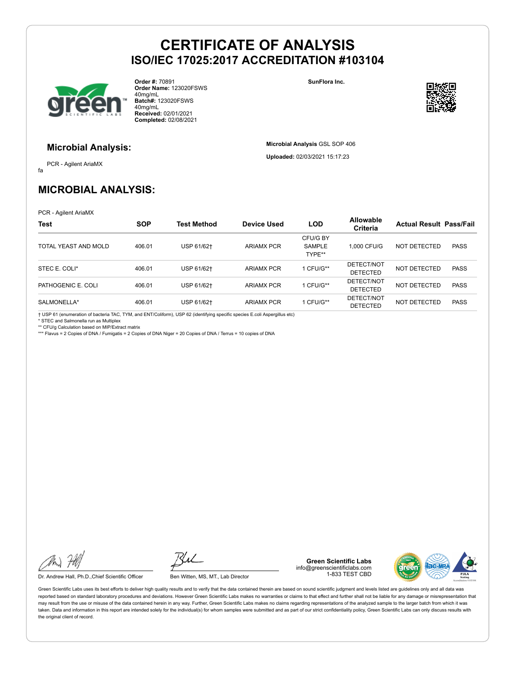

**Order #:** 70891 **Order Name:** 123020FSWS 40mg/mL **Batch#:** 123020FSWS 40mg/mL **Received:** 02/01/2021 **Completed:** 02/08/2021

**SunFlora Inc.**

**Microbial Analysis** GSL SOP 406 **Uploaded:** 02/03/2021 15:17:23



#### **Microbial Analysis:**

fa PCR - Agilent AriaMX

### **MICROBIAL ANALYSIS:**

PCR - Agilent AriaMX

| <b>Test</b>          | <b>SOP</b> | <b>Test Method</b> | Device Used       | <b>LOD</b>                   | <b>Allowable</b><br>Criteria  | <b>Actual Result Pass/Fail</b> |             |
|----------------------|------------|--------------------|-------------------|------------------------------|-------------------------------|--------------------------------|-------------|
| TOTAL YEAST AND MOLD | 406.01     | USP 61/62+         | <b>ARIAMX PCR</b> | CFU/G BY<br>SAMPLE<br>TYPE** | 1.000 CFU/G                   | NOT DETECTED                   | <b>PASS</b> |
| STEC E. COLI*        | 406.01     | USP 61/62+         | <b>ARIAMX PCR</b> | 1 CFU/G**                    | DETECT/NOT<br><b>DETECTED</b> | NOT DETECTED                   | <b>PASS</b> |
| PATHOGENIC E. COLI   | 406.01     | USP 61/62+         | <b>ARIAMX PCR</b> | 1 CFU/G**                    | DETECT/NOT<br><b>DETECTED</b> | NOT DETECTED                   | <b>PASS</b> |
| SALMONELLA*          | 406.01     | USP 61/62+         | <b>ARIAMX PCR</b> | 1 CFU/G**                    | DETECT/NOT<br><b>DETECTED</b> | NOT DETECTED                   | <b>PASS</b> |

† USP 61 (enumeration of bacteria TAC, TYM, and ENT/Coliform), USP 62 (identifying specific species E.coli Aspergillus etc) \* STEC and Salmonella run as Multiplex

\*\* CFU/g Calculation based on MIP/Extract matrix \*\*\* Flavus = 2 Copies of DNA / Fumigatis = 2 Copies of DNA Niger = 20 Copies of DNA / Terrus = 10 copies of DNA

Dr. Andrew Hall, Ph.D., Chief Scientific Officer Ben Witten, MS, MT., Lab Director

**Green Scientific Labs** info@greenscientificlabs.com 1-833 TEST CBD